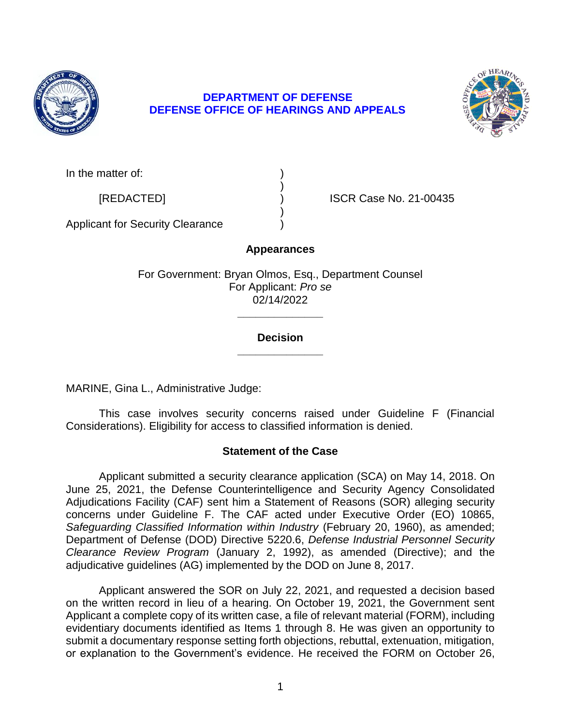

# **DEPARTMENT OF DEFENSE DEFENSE OFFICE OF HEARINGS AND APPEALS**



In the matter of:

[REDACTED] ) ISCR Case No. 21-00435

Applicant for Security Clearance )

# **Appearances**

)

)

For Government: Bryan Olmos, Esq., Department Counsel For Applicant: *Pro se*  02/14/2022

## **\_\_\_\_\_\_\_\_\_\_\_\_\_\_ Decision**

**\_\_\_\_\_\_\_\_\_\_\_\_\_\_** 

MARINE, Gina L., Administrative Judge:

 This case involves security concerns raised under Guideline F (Financial Considerations). Eligibility for access to classified information is denied.

## **Statement of the Case**

 Applicant submitted a security clearance application (SCA) on May 14, 2018. On June 25, 2021, the Defense Counterintelligence and Security Agency Consolidated Adjudications Facility (CAF) sent him a Statement of Reasons (SOR) alleging security Safeguarding Classified Information within Industry (February 20, 1960), as amended; Department of Defense (DOD) Directive 5220.6, *Defense Industrial Personnel Security Clearance Review Program* (January 2, 1992), as amended (Directive); and the concerns under Guideline F. The CAF acted under Executive Order (EO) 10865, adjudicative guidelines (AG) implemented by the DOD on June 8, 2017.

 Applicant answered the SOR on July 22, 2021, and requested a decision based on the written record in lieu of a hearing. On October 19, 2021, the Government sent Applicant a complete copy of its written case, a file of relevant material (FORM), including evidentiary documents identified as Items 1 through 8. He was given an opportunity to submit a documentary response setting forth objections, rebuttal, extenuation, mitigation, or explanation to the Government's evidence. He received the FORM on October 26,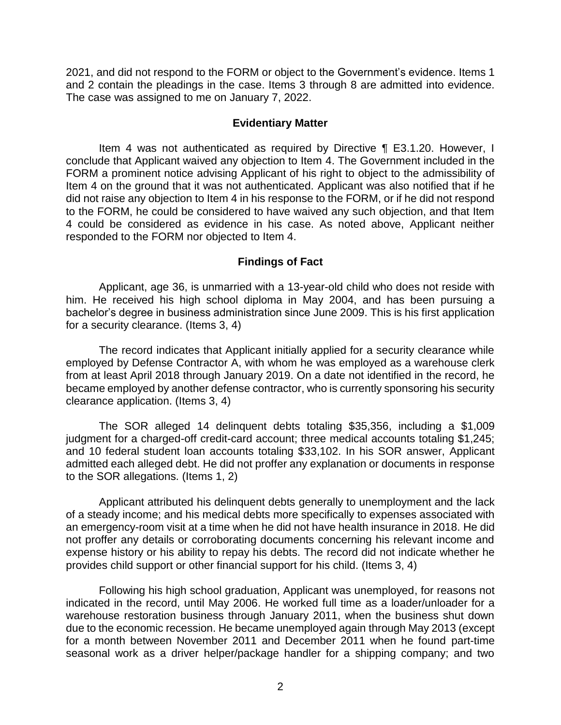2021, and did not respond to the FORM or object to the Government's evidence. Items 1 and 2 contain the pleadings in the case. Items 3 through 8 are admitted into evidence. The case was assigned to me on January 7, 2022.

### **Evidentiary Matter**

 Item 4 was not authenticated as required by Directive ¶ E3.1.20. However, I conclude that Applicant waived any objection to Item 4. The Government included in the FORM a prominent notice advising Applicant of his right to object to the admissibility of Item 4 on the ground that it was not authenticated. Applicant was also notified that if he did not raise any objection to Item 4 in his response to the FORM, or if he did not respond to the FORM, he could be considered to have waived any such objection, and that Item 4 could be considered as evidence in his case. As noted above, Applicant neither responded to the FORM nor objected to Item 4.

## **Findings of Fact**

 Applicant, age 36, is unmarried with a 13-year-old child who does not reside with him. He received his high school diploma in May 2004, and has been pursuing a bachelor's degree in business administration since June 2009. This is his first application for a security clearance. (Items 3, 4)

 The record indicates that Applicant initially applied for a security clearance while employed by Defense Contractor A, with whom he was employed as a warehouse clerk from at least April 2018 through January 2019. On a date not identified in the record, he became employed by another defense contractor, who is currently sponsoring his security clearance application. (Items 3, 4)

 The SOR alleged 14 delinquent debts totaling \$35,356, including a \$1,009 judgment for a charged-off credit-card account; three medical accounts totaling \$1,245; and 10 federal student loan accounts totaling \$33,102. In his SOR answer, Applicant admitted each alleged debt. He did not proffer any explanation or documents in response to the SOR allegations. (Items 1, 2)

 Applicant attributed his delinquent debts generally to unemployment and the lack of a steady income; and his medical debts more specifically to expenses associated with an emergency-room visit at a time when he did not have health insurance in 2018. He did not proffer any details or corroborating documents concerning his relevant income and expense history or his ability to repay his debts. The record did not indicate whether he provides child support or other financial support for his child. (Items 3, 4)

 Following his high school graduation, Applicant was unemployed, for reasons not indicated in the record, until May 2006. He worked full time as a loader/unloader for a warehouse restoration business through January 2011, when the business shut down due to the economic recession. He became unemployed again through May 2013 (except for a month between November 2011 and December 2011 when he found part-time seasonal work as a driver helper/package handler for a shipping company; and two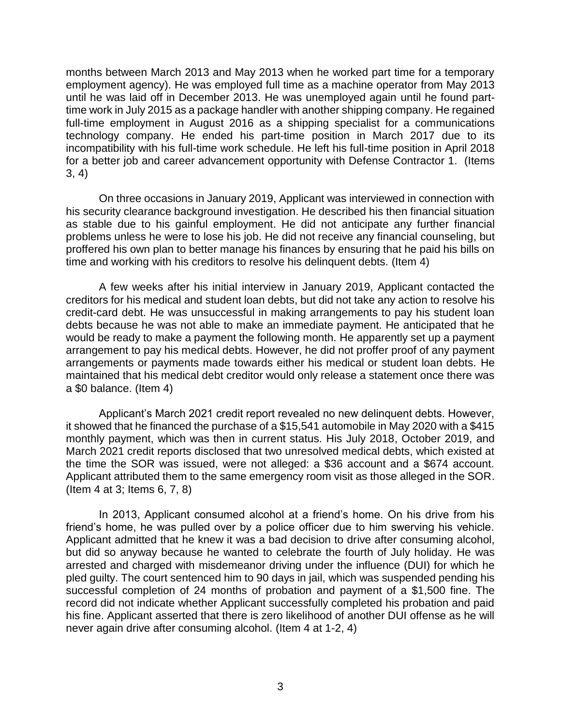months between March 2013 and May 2013 when he worked part time for a temporary employment agency). He was employed full time as a machine operator from May 2013 until he was laid off in December 2013. He was unemployed again until he found part- time work in July 2015 as a package handler with another shipping company. He regained full-time employment in August 2016 as a shipping specialist for a communications technology company. He ended his part-time position in March 2017 due to its incompatibility with his full-time work schedule. He left his full-time position in April 2018 for a better job and career advancement opportunity with Defense Contractor 1. (Items 3, 4)

 On three occasions in January 2019, Applicant was interviewed in connection with his security clearance background investigation. He described his then financial situation as stable due to his gainful employment. He did not anticipate any further financial proffered his own plan to better manage his finances by ensuring that he paid his bills on problems unless he were to lose his job. He did not receive any financial counseling, but time and working with his creditors to resolve his delinquent debts. (Item 4)

 A few weeks after his initial interview in January 2019, Applicant contacted the creditors for his medical and student loan debts, but did not take any action to resolve his credit-card debt. He was unsuccessful in making arrangements to pay his student loan debts because he was not able to make an immediate payment. He anticipated that he would be ready to make a payment the following month. He apparently set up a payment arrangements or payments made towards either his medical or student loan debts. He maintained that his medical debt creditor would only release a statement once there was arrangement to pay his medical debts. However, he did not proffer proof of any payment a \$0 balance. (Item 4)

 it showed that he financed the purchase of a \$15,541 automobile in May 2020 with a \$415 monthly payment, which was then in current status. His July 2018, October 2019, and March 2021 credit reports disclosed that two unresolved medical debts, which existed at the time the SOR was issued, were not alleged: a \$36 account and a \$674 account. Applicant attributed them to the same emergency room visit as those alleged in the SOR. Applicant's March 2021 credit report revealed no new delinquent debts. However, (Item 4 at 3; Items 6, 7, 8)

 In 2013, Applicant consumed alcohol at a friend's home. On his drive from his friend's home, he was pulled over by a police officer due to him swerving his vehicle. Applicant admitted that he knew it was a bad decision to drive after consuming alcohol, but did so anyway because he wanted to celebrate the fourth of July holiday. He was arrested and charged with misdemeanor driving under the influence (DUI) for which he pled guilty. The court sentenced him to 90 days in jail, which was suspended pending his successful completion of 24 months of probation and payment of a \$1,500 fine. The record did not indicate whether Applicant successfully completed his probation and paid his fine. Applicant asserted that there is zero likelihood of another DUI offense as he will never again drive after consuming alcohol. (Item 4 at 1-2, 4)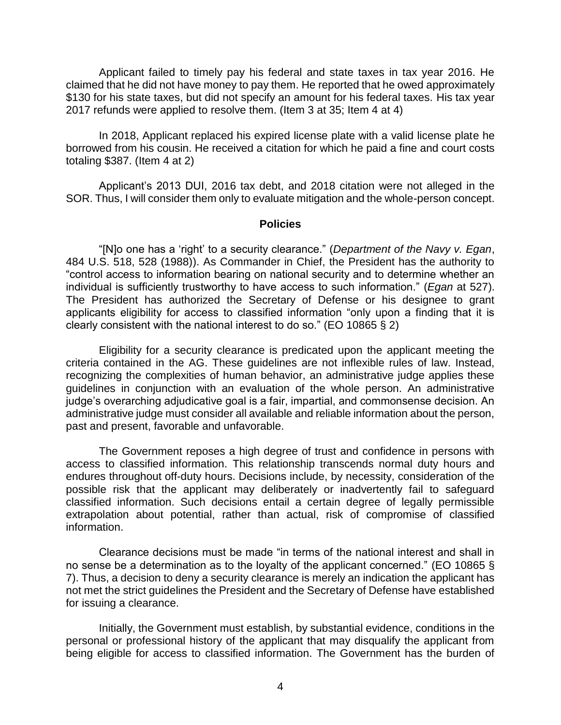Applicant failed to timely pay his federal and state taxes in tax year 2016. He claimed that he did not have money to pay them. He reported that he owed approximately \$130 for his state taxes, but did not specify an amount for his federal taxes. His tax year 2017 refunds were applied to resolve them. (Item 3 at 35; Item 4 at 4)

 In 2018, Applicant replaced his expired license plate with a valid license plate he borrowed from his cousin. He received a citation for which he paid a fine and court costs totaling \$387. (Item 4 at 2)

 Applicant's 2013 DUI, 2016 tax debt, and 2018 citation were not alleged in the SOR. Thus, I will consider them only to evaluate mitigation and the whole-person concept.

#### **Policies**

 "[N]o one has a 'right' to a security clearance." (*Department of the Navy v. Egan*, 484 U.S. 518, 528 (1988)). As Commander in Chief, the President has the authority to "control access to information bearing on national security and to determine whether an individual is sufficiently trustworthy to have access to such information." (*Egan* at 527). The President has authorized the Secretary of Defense or his designee to grant applicants eligibility for access to classified information "only upon a finding that it is clearly consistent with the national interest to do so." (EO 10865 § 2)

 Eligibility for a security clearance is predicated upon the applicant meeting the criteria contained in the AG. These guidelines are not inflexible rules of law. Instead, recognizing the complexities of human behavior, an administrative judge applies these guidelines in conjunction with an evaluation of the whole person. An administrative administrative judge must consider all available and reliable information about the person, judge's overarching adjudicative goal is a fair, impartial, and commonsense decision. An past and present, favorable and unfavorable.

 The Government reposes a high degree of trust and confidence in persons with access to classified information. This relationship transcends normal duty hours and endures throughout off-duty hours. Decisions include, by necessity, consideration of the possible risk that the applicant may deliberately or inadvertently fail to safeguard classified information. Such decisions entail a certain degree of legally permissible extrapolation about potential, rather than actual, risk of compromise of classified information.

 Clearance decisions must be made "in terms of the national interest and shall in no sense be a determination as to the loyalty of the applicant concerned." (EO 10865 § 7). Thus, a decision to deny a security clearance is merely an indication the applicant has not met the strict guidelines the President and the Secretary of Defense have established for issuing a clearance.

 Initially, the Government must establish, by substantial evidence, conditions in the personal or professional history of the applicant that may disqualify the applicant from being eligible for access to classified information. The Government has the burden of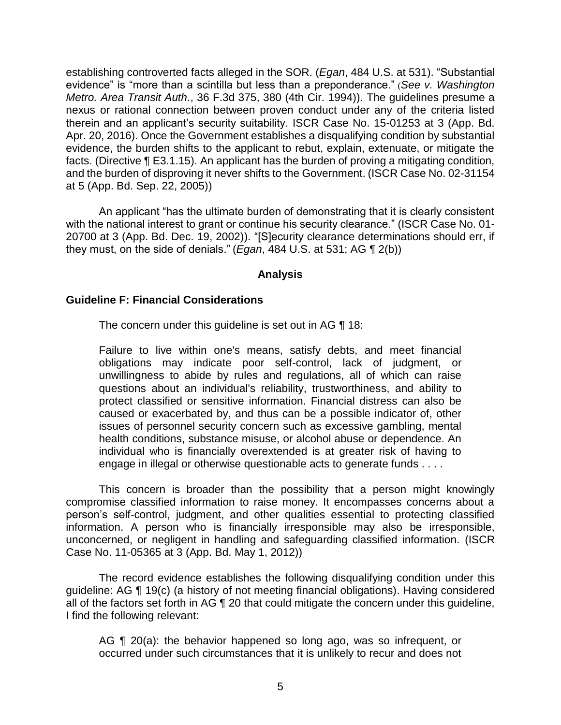establishing controverted facts alleged in the SOR. (*Egan*, 484 U.S. at 531). "Substantial evidence" is "more than a scintilla but less than a preponderance." (*See v. Washington Metro. Area Transit Auth.*, 36 F.3d 375, 380 (4th Cir. 1994)). The guidelines presume a nexus or rational connection between proven conduct under any of the criteria listed therein and an applicant's security suitability. ISCR Case No. 15-01253 at 3 (App. Bd. Apr. 20, 2016). Once the Government establishes a disqualifying condition by substantial evidence, the burden shifts to the applicant to rebut, explain, extenuate, or mitigate the facts. (Directive ¶ E3.1.15). An applicant has the burden of proving a mitigating condition, and the burden of disproving it never shifts to the Government. (ISCR Case No. 02-31154 at 5 (App. Bd. Sep. 22, 2005))

An applicant "has the ultimate burden of demonstrating that it is clearly consistent with the national interest to grant or continue his security clearance." (ISCR Case No. 01- 20700 at 3 (App. Bd. Dec. 19, 2002)). "[S]ecurity clearance determinations should err, if they must, on the side of denials." (*Egan*, 484 U.S. at 531; AG ¶ 2(b))

### **Analysis**

### **Guideline F: Financial Considerations**

The concern under this guideline is set out in AG ¶ 18:

Failure to live within one's means, satisfy debts, and meet financial obligations may indicate poor self-control, lack of judgment, or unwillingness to abide by rules and regulations, all of which can raise questions about an individual's reliability, trustworthiness, and ability to protect classified or sensitive information. Financial distress can also be caused or exacerbated by, and thus can be a possible indicator of, other issues of personnel security concern such as excessive gambling, mental health conditions, substance misuse, or alcohol abuse or dependence. An individual who is financially overextended is at greater risk of having to engage in illegal or otherwise questionable acts to generate funds . . . .

 This concern is broader than the possibility that a person might knowingly compromise classified information to raise money. It encompasses concerns about a person's self-control, judgment, and other qualities essential to protecting classified information. A person who is financially irresponsible may also be irresponsible, unconcerned, or negligent in handling and safeguarding classified information. (ISCR Case No. 11-05365 at 3 (App. Bd. May 1, 2012))

 The record evidence establishes the following disqualifying condition under this guideline: AG ¶ 19(c) (a history of not meeting financial obligations). Having considered all of the factors set forth in AG ¶ 20 that could mitigate the concern under this guideline, I find the following relevant:

AG ¶ 20(a): the behavior happened so long ago, was so infrequent, or occurred under such circumstances that it is unlikely to recur and does not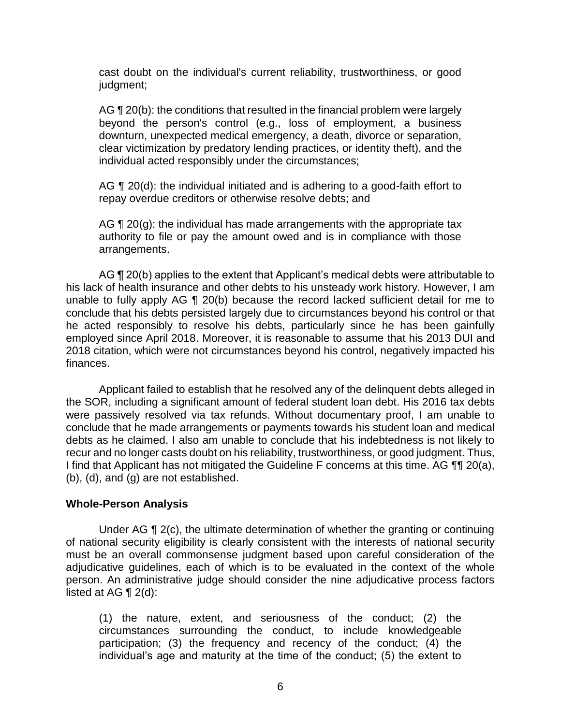cast doubt on the individual's current reliability, trustworthiness, or good judgment;

AG ¶ 20(b): the conditions that resulted in the financial problem were largely beyond the person's control (e.g., loss of employment, a business clear victimization by predatory lending practices, or identity theft), and the downturn, unexpected medical emergency, a death, divorce or separation, individual acted responsibly under the circumstances;

AG ¶ 20(d): the individual initiated and is adhering to a good-faith effort to repay overdue creditors or otherwise resolve debts; and

AG  $\P$  20(g): the individual has made arrangements with the appropriate tax authority to file or pay the amount owed and is in compliance with those arrangements.

AG ¶ 20(b) applies to the extent that Applicant's medical debts were attributable to his lack of health insurance and other debts to his unsteady work history. However, I am unable to fully apply AG ¶ 20(b) because the record lacked sufficient detail for me to conclude that his debts persisted largely due to circumstances beyond his control or that he acted responsibly to resolve his debts, particularly since he has been gainfully employed since April 2018. Moreover, it is reasonable to assume that his 2013 DUI and 2018 citation, which were not circumstances beyond his control, negatively impacted his finances.

 Applicant failed to establish that he resolved any of the delinquent debts alleged in the SOR, including a significant amount of federal student loan debt. His 2016 tax debts were passively resolved via tax refunds. Without documentary proof, I am unable to conclude that he made arrangements or payments towards his student loan and medical debts as he claimed. I also am unable to conclude that his indebtedness is not likely to recur and no longer casts doubt on his reliability, trustworthiness, or good judgment. Thus, I find that Applicant has not mitigated the Guideline F concerns at this time. AG ¶¶ 20(a), (b), (d), and (g) are not established.

### **Whole-Person Analysis**

 Under AG ¶ 2(c), the ultimate determination of whether the granting or continuing of national security eligibility is clearly consistent with the interests of national security must be an overall commonsense judgment based upon careful consideration of the adjudicative guidelines, each of which is to be evaluated in the context of the whole person. An administrative judge should consider the nine adjudicative process factors listed at AG  $\P$  2(d):

(1) the nature, extent, and seriousness of the conduct; (2) the circumstances surrounding the conduct, to include knowledgeable participation; (3) the frequency and recency of the conduct; (4) the individual's age and maturity at the time of the conduct; (5) the extent to